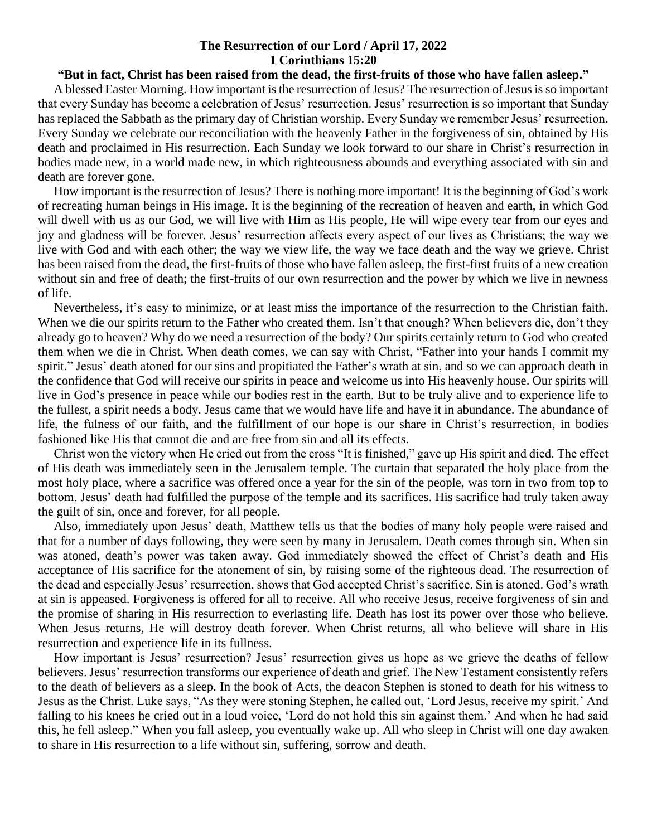## **The Resurrection of our Lord / April 17, 2022 1 Corinthians 15:20**

## **"But in fact, Christ has been raised from the dead, the first-fruits of those who have fallen asleep."**

 A blessed Easter Morning. How important is the resurrection of Jesus? The resurrection of Jesus is so important that every Sunday has become a celebration of Jesus' resurrection. Jesus' resurrection is so important that Sunday has replaced the Sabbath as the primary day of Christian worship. Every Sunday we remember Jesus' resurrection. Every Sunday we celebrate our reconciliation with the heavenly Father in the forgiveness of sin, obtained by His death and proclaimed in His resurrection. Each Sunday we look forward to our share in Christ's resurrection in bodies made new, in a world made new, in which righteousness abounds and everything associated with sin and death are forever gone.

 How important is the resurrection of Jesus? There is nothing more important! It is the beginning of God's work of recreating human beings in His image. It is the beginning of the recreation of heaven and earth, in which God will dwell with us as our God, we will live with Him as His people, He will wipe every tear from our eyes and joy and gladness will be forever. Jesus' resurrection affects every aspect of our lives as Christians; the way we live with God and with each other; the way we view life, the way we face death and the way we grieve. Christ has been raised from the dead, the first-fruits of those who have fallen asleep, the first-first fruits of a new creation without sin and free of death; the first-fruits of our own resurrection and the power by which we live in newness of life.

 Nevertheless, it's easy to minimize, or at least miss the importance of the resurrection to the Christian faith. When we die our spirits return to the Father who created them. Isn't that enough? When believers die, don't they already go to heaven? Why do we need a resurrection of the body? Our spirits certainly return to God who created them when we die in Christ. When death comes, we can say with Christ, "Father into your hands I commit my spirit." Jesus' death atoned for our sins and propitiated the Father's wrath at sin, and so we can approach death in the confidence that God will receive our spirits in peace and welcome us into His heavenly house. Our spirits will live in God's presence in peace while our bodies rest in the earth. But to be truly alive and to experience life to the fullest, a spirit needs a body. Jesus came that we would have life and have it in abundance. The abundance of life, the fulness of our faith, and the fulfillment of our hope is our share in Christ's resurrection, in bodies fashioned like His that cannot die and are free from sin and all its effects.

 Christ won the victory when He cried out from the cross "It is finished," gave up His spirit and died. The effect of His death was immediately seen in the Jerusalem temple. The curtain that separated the holy place from the most holy place, where a sacrifice was offered once a year for the sin of the people, was torn in two from top to bottom. Jesus' death had fulfilled the purpose of the temple and its sacrifices. His sacrifice had truly taken away the guilt of sin, once and forever, for all people.

 Also, immediately upon Jesus' death, Matthew tells us that the bodies of many holy people were raised and that for a number of days following, they were seen by many in Jerusalem. Death comes through sin. When sin was atoned, death's power was taken away. God immediately showed the effect of Christ's death and His acceptance of His sacrifice for the atonement of sin, by raising some of the righteous dead. The resurrection of the dead and especially Jesus' resurrection, shows that God accepted Christ's sacrifice. Sin is atoned. God's wrath at sin is appeased. Forgiveness is offered for all to receive. All who receive Jesus, receive forgiveness of sin and the promise of sharing in His resurrection to everlasting life. Death has lost its power over those who believe. When Jesus returns, He will destroy death forever. When Christ returns, all who believe will share in His resurrection and experience life in its fullness.

 How important is Jesus' resurrection? Jesus' resurrection gives us hope as we grieve the deaths of fellow believers. Jesus' resurrection transforms our experience of death and grief. The New Testament consistently refers to the death of believers as a sleep. In the book of Acts, the deacon Stephen is stoned to death for his witness to Jesus as the Christ. Luke says, "As they were stoning Stephen, he called out, 'Lord Jesus, receive my spirit.' And falling to his knees he cried out in a loud voice, 'Lord do not hold this sin against them.' And when he had said this, he fell asleep." When you fall asleep, you eventually wake up. All who sleep in Christ will one day awaken to share in His resurrection to a life without sin, suffering, sorrow and death.